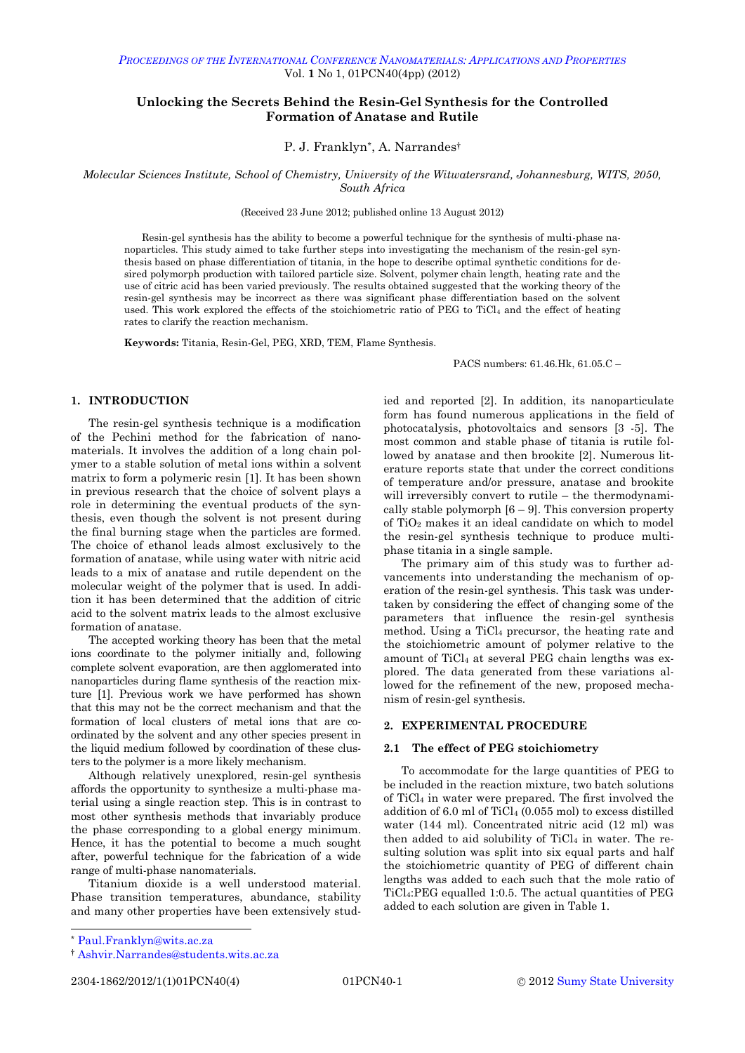<span id="page-0-0"></span>Vol. **1** No 1, 01PCN40(4pp) (2012)

# **Unlocking the Secrets Behind the Resin-Gel Synthesis for the Controlled Formation of Anatase and Rutile**

# P. J. Franklyn\* , A. Narrandes†

*Molecular Sciences Institute, School of Chemistry, University of the Witwatersrand, Johannesburg, WITS, 2050, South Africa*

(Received 23 June 2012; published online 13 August 2012)

Resin-gel synthesis has the ability to become a powerful technique for the synthesis of multi-phase nanoparticles. This study aimed to take further steps into investigating the mechanism of the resin-gel synthesis based on phase differentiation of titania, in the hope to describe optimal synthetic conditions for desired polymorph production with tailored particle size. Solvent, polymer chain length, heating rate and the use of citric acid has been varied previously. The results obtained suggested that the working theory of the resin-gel synthesis may be incorrect as there was significant phase differentiation based on the solvent used. This work explored the effects of the stoichiometric ratio of PEG to TiCl<sub>4</sub> and the effect of heating rates to clarify the reaction mechanism.

**Keywords:** Titania, Resin-Gel, PEG, XRD, TEM, Flame Synthesis.

PACS numbers: 61.46.Hk, 61.05.C –

# **1. INTRODUCTION**

The resin-gel synthesis technique is a modification of the Pechini method for the fabrication of nanomaterials. It involves the addition of a long chain polymer to a stable solution of metal ions within a solvent matrix to form a polymeric resin [1]. It has been shown in previous research that the choice of solvent plays a role in determining the eventual products of the synthesis, even though the solvent is not present during the final burning stage when the particles are formed. The choice of ethanol leads almost exclusively to the formation of anatase, while using water with nitric acid leads to a mix of anatase and rutile dependent on the molecular weight of the polymer that is used. In addition it has been determined that the addition of citric acid to the solvent matrix leads to the almost exclusive formation of anatase.

The accepted working theory has been that the metal ions coordinate to the polymer initially and, following complete solvent evaporation, are then agglomerated into nanoparticles during flame synthesis of the reaction mixture [1]. Previous work we have performed has shown that this may not be the correct mechanism and that the formation of local clusters of metal ions that are coordinated by the solvent and any other species present in the liquid medium followed by coordination of these clusters to the polymer is a more likely mechanism.

Although relatively unexplored, resin-gel synthesis affords the opportunity to synthesize a multi-phase material using a single reaction step. This is in contrast to most other synthesis methods that invariably produce the phase corresponding to a global energy minimum. Hence, it has the potential to become a much sought after, powerful technique for the fabrication of a wide range of multi-phase nanomaterials.

Titanium dioxide is a well understood material. Phase transition temperatures, abundance, stability and many other properties have been extensively stud-

ied and reported [2]. In addition, its nanoparticulate form has found numerous applications in the field of photocatalysis, photovoltaics and sensors [3 -5]. The most common and stable phase of titania is rutile followed by anatase and then brookite [2]. Numerous literature reports state that under the correct conditions of temperature and/or pressure, anatase and brookite will irreversibly convert to rutile – the thermodynamically stable polymorph  $[6 - 9]$ . This conversion property of TiO<sup>2</sup> makes it an ideal candidate on which to model the resin-gel synthesis technique to produce multiphase titania in a single sample.

The primary aim of this study was to further advancements into understanding the mechanism of operation of the resin-gel synthesis. This task was undertaken by considering the effect of changing some of the parameters that influence the resin-gel synthesis method. Using a TiCl<sup>4</sup> precursor, the heating rate and the stoichiometric amount of polymer relative to the amount of  $TiCl<sub>4</sub>$  at several PEG chain lengths was explored. The data generated from these variations allowed for the refinement of the new, proposed mechanism of resin-gel synthesis.

# **2. EXPERIMENTAL PROCEDURE**

## **2.1 The effect of PEG stoichiometry**

To accommodate for the large quantities of PEG to be included in the reaction mixture, two batch solutions of TiCl<sup>4</sup> in water were prepared. The first involved the addition of 6.0 ml of TiCl<sup>4</sup> (0.055 mol) to excess distilled water (144 ml). Concentrated nitric acid (12 ml) was then added to aid solubility of  $TiCl<sub>4</sub>$  in water. The resulting solution was split into six equal parts and half the stoichiometric quantity of PEG of different chain lengths was added to each such that the mole ratio of TiCl4:PEG equalled 1:0.5. The actual quantities of PEG added to each solution are given in Table 1.

 $\overline{a}$ 

<sup>\*</sup> [Paul.Franklyn@wits.ac.za](mailto:Paul.Franklyn@wits.ac.za)

<sup>†</sup> [Ashvir.Narrandes@students.wits.ac.za](mailto:Ashvir.Narrandes@students.wits.ac.za)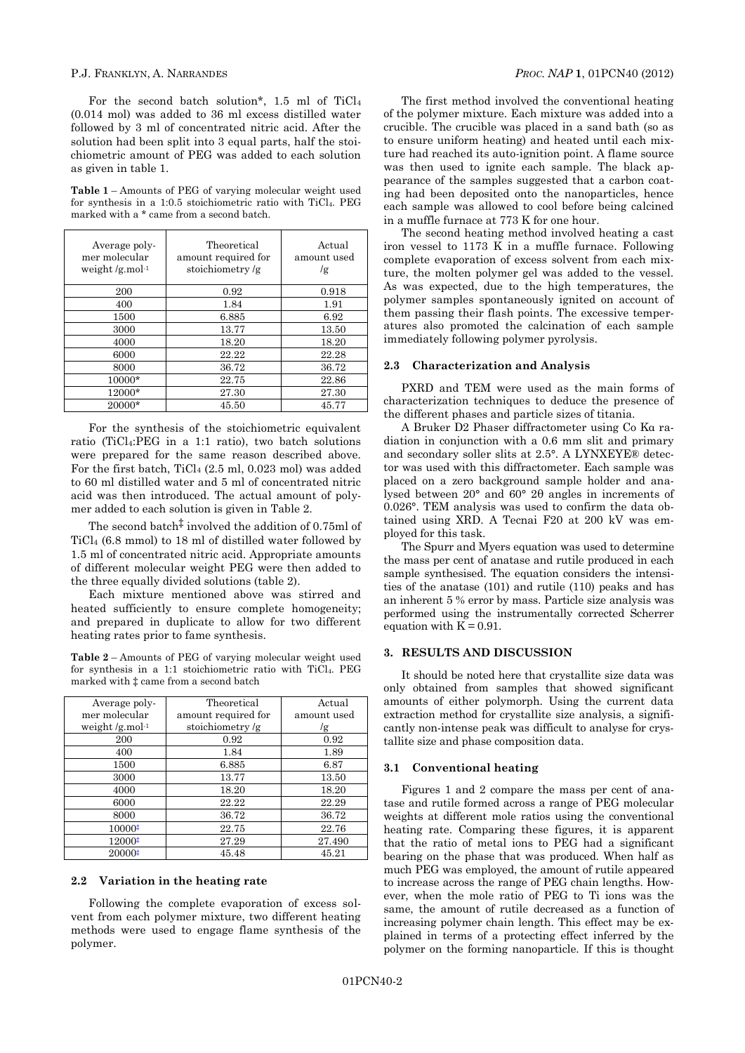## P.J. FRANKLYN, A. NARRANDES *PROC. NAP* **1**, [01PCN40](#page-0-0) (2012)

For the second batch solution\*, 1.5 ml of TiCl<sup>4</sup> (0.014 mol) was added to 36 ml excess distilled water followed by 3 ml of concentrated nitric acid. After the solution had been split into 3 equal parts, half the stoichiometric amount of PEG was added to each solution as given in table 1.

**Table 1** – Amounts of PEG of varying molecular weight used for synthesis in a 1:0.5 stoichiometric ratio with TiCl4. PEG marked with a \* came from a second batch.

| Average poly-<br>mer molecular<br>weight $/g$ mol <sup>-1</sup> | Theoretical<br>amount required for<br>stoichiometry/g | Actual<br>amount used<br>/g |
|-----------------------------------------------------------------|-------------------------------------------------------|-----------------------------|
| 200                                                             | 0.92                                                  | 0.918                       |
| 400                                                             | 1.84                                                  | 1.91                        |
| 1500                                                            | 6.885                                                 | 6.92                        |
| 3000                                                            | 13.77                                                 | 13.50                       |
| 4000                                                            | 18.20                                                 | 18.20                       |
| 6000                                                            | 22.22                                                 | 22.28                       |
| 8000                                                            | 36.72                                                 | 36.72                       |
| 10000*                                                          | 22.75                                                 | 22.86                       |
| 12000*                                                          | 27.30                                                 | 27.30                       |
| 20000*                                                          | 45.50                                                 | 45.77                       |

For the synthesis of the stoichiometric equivalent ratio (TiCl4:PEG in a 1:1 ratio), two batch solutions were prepared for the same reason described above. For the first batch, TiCl<sup>4</sup> (2.5 ml, 0.023 mol) was added to 60 ml distilled water and 5 ml of concentrated nitric acid was then introduced. The actual amount of polymer added to each solution is given in Table 2.

The second batch<sup> $\ddagger$ </sup> involved the addition of 0.75ml of TiCl<sup>4</sup> (6.8 mmol) to 18 ml of distilled water followed by 1.5 ml of concentrated nitric acid. Appropriate amounts of different molecular weight PEG were then added to the three equally divided solutions (table 2).

Each mixture mentioned above was stirred and heated sufficiently to ensure complete homogeneity; and prepared in duplicate to allow for two different heating rates prior to fame synthesis.

**Table 2** – Amounts of PEG of varying molecular weight used for synthesis in a 1:1 stoichiometric ratio with TiCl4. PEG marked with ‡ came from a second batch

| Average poly-                  | Theoretical         | Actual      |
|--------------------------------|---------------------|-------------|
| mer molecular                  | amount required for | amount used |
| weight $/g$ .mol <sup>-1</sup> | stoichiometry/ $g$  | /g          |
| 200                            | 0.92                | 0.92        |
| 400                            | 1.84                | 1.89        |
| 1500                           | 6.885               | 6.87        |
| 3000                           | 13.77               | 13.50       |
| 4000                           | 18.20               | 18.20       |
| 6000                           | 22.22               | 22.29       |
| 8000                           | 36.72               | 36.72       |
| 10000‡                         | 22.75               | 22.76       |
| 12000‡                         | 27.29               | 27.490      |
| 20000#                         | 45.48               | 45.21       |

# **2.2 Variation in the heating rate**

Following the complete evaporation of excess solvent from each polymer mixture, two different heating methods were used to engage flame synthesis of the polymer.

The first method involved the conventional heating of the polymer mixture. Each mixture was added into a crucible. The crucible was placed in a sand bath (so as to ensure uniform heating) and heated until each mixture had reached its auto-ignition point. A flame source was then used to ignite each sample. The black appearance of the samples suggested that a carbon coating had been deposited onto the nanoparticles, hence each sample was allowed to cool before being calcined in a muffle furnace at 773 K for one hour.

The second heating method involved heating a cast iron vessel to 1173 K in a muffle furnace. Following complete evaporation of excess solvent from each mixture, the molten polymer gel was added to the vessel. As was expected, due to the high temperatures, the polymer samples spontaneously ignited on account of them passing their flash points. The excessive temperatures also promoted the calcination of each sample immediately following polymer pyrolysis.

## **2.3 Characterization and Analysis**

PXRD and TEM were used as the main forms of characterization techniques to deduce the presence of the different phases and particle sizes of titania.

A Bruker D2 Phaser diffractometer using Co Kα radiation in conjunction with a 0.6 mm slit and primary and secondary soller slits at 2.5°. A LYNXEYE® detector was used with this diffractometer. Each sample was placed on a zero background sample holder and analysed between 20° and 60° 2θ angles in increments of 0.026°. TEM analysis was used to confirm the data obtained using XRD. A Tecnai F20 at 200 kV was employed for this task.

The Spurr and Myers equation was used to determine the mass per cent of anatase and rutile produced in each sample synthesised. The equation considers the intensities of the anatase (101) and rutile (110) peaks and has an inherent 5 % error by mass. Particle size analysis was performed using the instrumentally corrected Scherrer equation with  $K = 0.91$ .

#### **3. RESULTS AND DISCUSSION**

It should be noted here that crystallite size data was only obtained from samples that showed significant amounts of either polymorph. Using the current data extraction method for crystallite size analysis, a significantly non-intense peak was difficult to analyse for crystallite size and phase composition data.

#### **3.1 Conventional heating**

Figures 1 and 2 compare the mass per cent of anatase and rutile formed across a range of PEG molecular weights at different mole ratios using the conventional heating rate. Comparing these figures, it is apparent that the ratio of metal ions to PEG had a significant bearing on the phase that was produced. When half as much PEG was employed, the amount of rutile appeared to increase across the range of PEG chain lengths. However, when the mole ratio of PEG to Ti ions was the same, the amount of rutile decreased as a function of increasing polymer chain length. This effect may be explained in terms of a protecting effect inferred by the polymer on the forming nanoparticle. If this is thought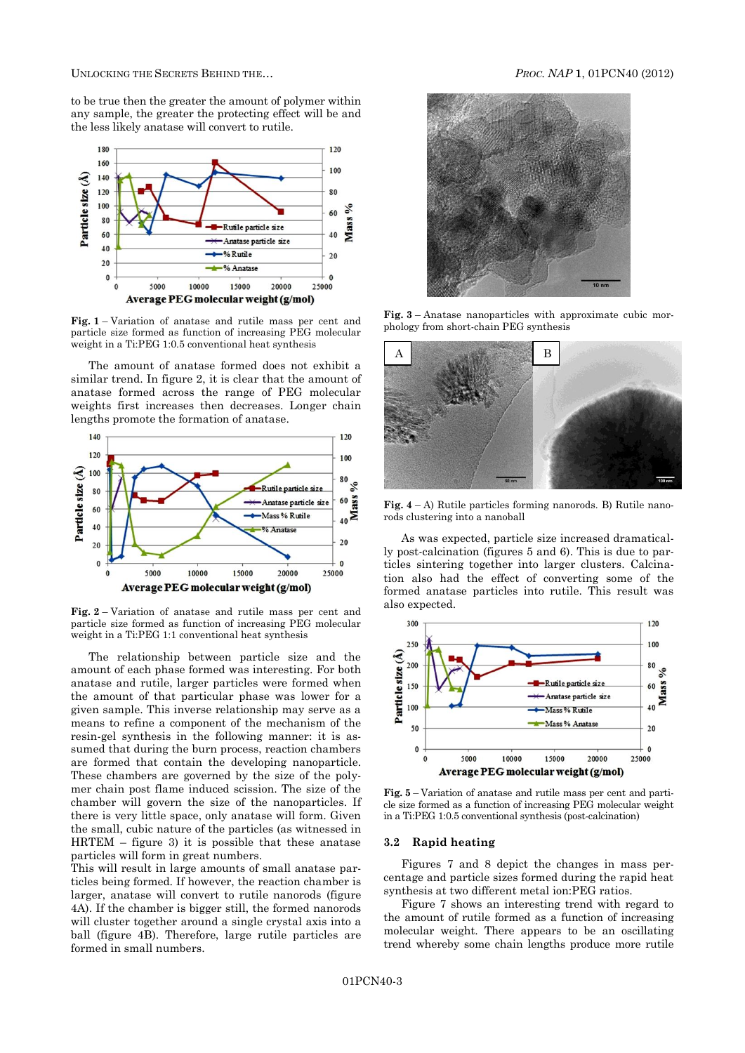UNLOCKING THE SECRETS BEHIND THE… *PROC. NAP* **1**, [01PCN40](#page-0-0) (2012)

to be true then the greater the amount of polymer within any sample, the greater the protecting effect will be and the less likely anatase will convert to rutile.



**Fig. 1** – Variation of anatase and rutile mass per cent and particle size formed as function of increasing PEG molecular weight in a Ti:PEG 1:0.5 conventional heat synthesis

The amount of anatase formed does not exhibit a similar trend. In figure 2, it is clear that the amount of anatase formed across the range of PEG molecular weights first increases then decreases. Longer chain lengths promote the formation of anatase.



**Fig. 2** – Variation of anatase and rutile mass per cent and particle size formed as function of increasing PEG molecular weight in a Ti:PEG 1:1 conventional heat synthesis

The relationship between particle size and the amount of each phase formed was interesting. For both anatase and rutile, larger particles were formed when the amount of that particular phase was lower for a given sample. This inverse relationship may serve as a means to refine a component of the mechanism of the resin-gel synthesis in the following manner: it is assumed that during the burn process, reaction chambers are formed that contain the developing nanoparticle. These chambers are governed by the size of the polymer chain post flame induced scission. The size of the chamber will govern the size of the nanoparticles. If there is very little space, only anatase will form. Given the small, cubic nature of the particles (as witnessed in HRTEM – figure 3) it is possible that these anatase particles will form in great numbers.

This will result in large amounts of small anatase particles being formed. If however, the reaction chamber is larger, anatase will convert to rutile nanorods (figure 4A). If the chamber is bigger still, the formed nanorods will cluster together around a single crystal axis into a ball (figure 4B). Therefore, large rutile particles are formed in small numbers.



**Fig. 3** – Anatase nanoparticles with approximate cubic morphology from short-chain PEG synthesis



**Fig. 4** – A) Rutile particles forming nanorods. B) Rutile nanorods clustering into a nanoball

As was expected, particle size increased dramatically post-calcination (figures 5 and 6). This is due to particles sintering together into larger clusters. Calcination also had the effect of converting some of the formed anatase particles into rutile. This result was also expected.



**Fig. 5** – Variation of anatase and rutile mass per cent and particle size formed as a function of increasing PEG molecular weight in a Ti:PEG 1:0.5 conventional synthesis (post-calcination)

# **3.2 Rapid heating**

Figures 7 and 8 depict the changes in mass percentage and particle sizes formed during the rapid heat synthesis at two different metal ion:PEG ratios.

Figure 7 shows an interesting trend with regard to the amount of rutile formed as a function of increasing molecular weight. There appears to be an oscillating trend whereby some chain lengths produce more rutile